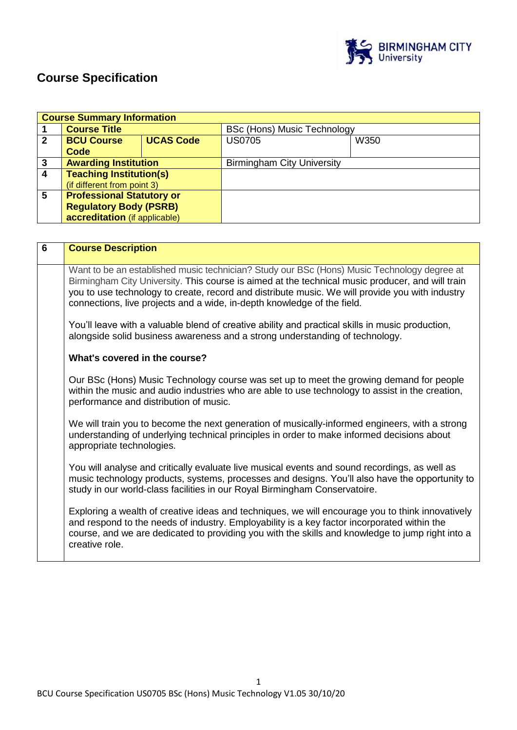

# **Course Specification**

|              | <b>Course Summary Information</b> |                  |                                   |      |
|--------------|-----------------------------------|------------------|-----------------------------------|------|
|              | <b>Course Title</b>               |                  | BSc (Hons) Music Technology       |      |
| $\mathbf{2}$ | <b>BCU Course</b>                 | <b>UCAS Code</b> | <b>US0705</b>                     | W350 |
|              | Code                              |                  |                                   |      |
| 3            | <b>Awarding Institution</b>       |                  | <b>Birmingham City University</b> |      |
| 4            | <b>Teaching Institution(s)</b>    |                  |                                   |      |
|              | (if different from point 3)       |                  |                                   |      |
| 5            | <b>Professional Statutory or</b>  |                  |                                   |      |
|              | <b>Regulatory Body (PSRB)</b>     |                  |                                   |      |
|              | accreditation (if applicable)     |                  |                                   |      |

| $6\phantom{1}6$ | <b>Course Description</b>                                                                                                                                                                                                                                                                                                                                                     |
|-----------------|-------------------------------------------------------------------------------------------------------------------------------------------------------------------------------------------------------------------------------------------------------------------------------------------------------------------------------------------------------------------------------|
|                 | Want to be an established music technician? Study our BSc (Hons) Music Technology degree at<br>Birmingham City University. This course is aimed at the technical music producer, and will train<br>you to use technology to create, record and distribute music. We will provide you with industry<br>connections, live projects and a wide, in-depth knowledge of the field. |
|                 | You'll leave with a valuable blend of creative ability and practical skills in music production,<br>alongside solid business awareness and a strong understanding of technology.                                                                                                                                                                                              |
|                 | What's covered in the course?                                                                                                                                                                                                                                                                                                                                                 |
|                 | Our BSc (Hons) Music Technology course was set up to meet the growing demand for people<br>within the music and audio industries who are able to use technology to assist in the creation,<br>performance and distribution of music.                                                                                                                                          |
|                 | We will train you to become the next generation of musically-informed engineers, with a strong<br>understanding of underlying technical principles in order to make informed decisions about<br>appropriate technologies.                                                                                                                                                     |
|                 | You will analyse and critically evaluate live musical events and sound recordings, as well as<br>music technology products, systems, processes and designs. You'll also have the opportunity to<br>study in our world-class facilities in our Royal Birmingham Conservatoire.                                                                                                 |
|                 | Exploring a wealth of creative ideas and techniques, we will encourage you to think innovatively<br>and respond to the needs of industry. Employability is a key factor incorporated within the<br>course, and we are dedicated to providing you with the skills and knowledge to jump right into a<br>creative role.                                                         |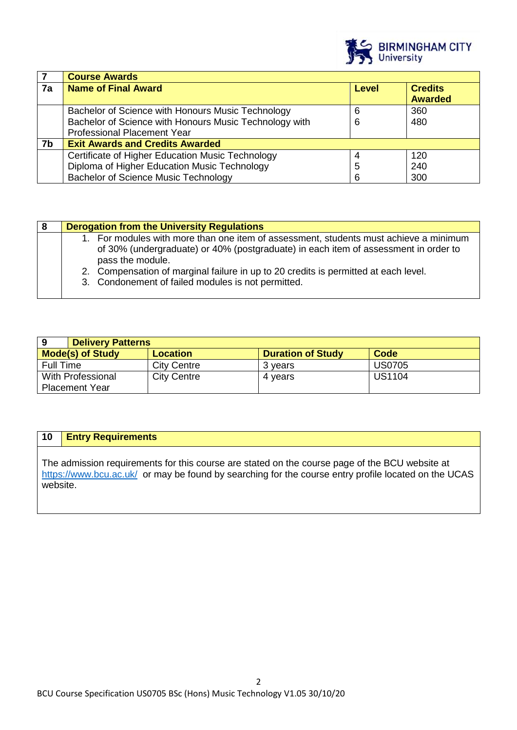

|    | <b>Course Awards</b>                                   |       |                |
|----|--------------------------------------------------------|-------|----------------|
| 7a | <b>Name of Final Award</b>                             | Level | <b>Credits</b> |
|    |                                                        |       | <b>Awarded</b> |
|    | Bachelor of Science with Honours Music Technology      | 6     | 360            |
|    | Bachelor of Science with Honours Music Technology with | 6     | 480            |
|    | <b>Professional Placement Year</b>                     |       |                |
| 7b | <b>Exit Awards and Credits Awarded</b>                 |       |                |
|    | Certificate of Higher Education Music Technology       | 4     | 120            |
|    | Diploma of Higher Education Music Technology           | 5     | 240            |
|    | <b>Bachelor of Science Music Technology</b>            | 6     | 300            |

| 8 | <b>Derogation from the University Regulations</b>                                                                                                                                                |
|---|--------------------------------------------------------------------------------------------------------------------------------------------------------------------------------------------------|
|   | 1. For modules with more than one item of assessment, students must achieve a minimum<br>of 30% (undergraduate) or 40% (postgraduate) in each item of assessment in order to<br>pass the module. |
|   | 2. Compensation of marginal failure in up to 20 credits is permitted at each level.                                                                                                              |
|   | 3. Condonement of failed modules is not permitted.                                                                                                                                               |

|                          | <b>Delivery Patterns</b> |                          |               |  |
|--------------------------|--------------------------|--------------------------|---------------|--|
| <b>Mode(s) of Study</b>  | <b>Location</b>          | <b>Duration of Study</b> | Code          |  |
| <b>Full Time</b>         | <b>City Centre</b>       | 3 years                  | <b>US0705</b> |  |
| <b>With Professional</b> | <b>City Centre</b>       | 4 vears                  | <b>US1104</b> |  |
| <b>Placement Year</b>    |                          |                          |               |  |

## **10 Entry Requirements**

The admission requirements for this course are stated on the course page of the BCU website at <https://www.bcu.ac.uk/>or may be found by searching for the course entry profile located on the UCAS website.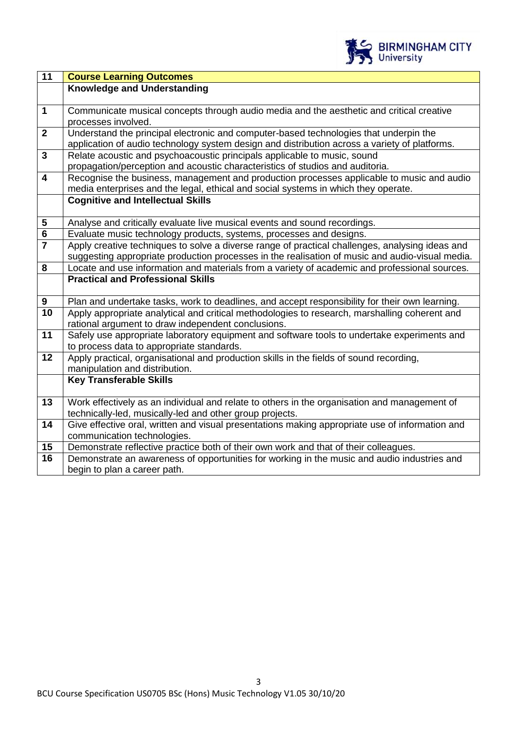

| $\overline{11}$         | <b>Course Learning Outcomes</b>                                                                 |  |
|-------------------------|-------------------------------------------------------------------------------------------------|--|
|                         | <b>Knowledge and Understanding</b>                                                              |  |
|                         |                                                                                                 |  |
| $\mathbf{1}$            | Communicate musical concepts through audio media and the aesthetic and critical creative        |  |
|                         | processes involved.                                                                             |  |
| $\overline{2}$          | Understand the principal electronic and computer-based technologies that underpin the           |  |
|                         | application of audio technology system design and distribution across a variety of platforms.   |  |
| $\overline{3}$          | Relate acoustic and psychoacoustic principals applicable to music, sound                        |  |
|                         | propagation/perception and acoustic characteristics of studios and auditoria.                   |  |
| $\overline{\mathbf{4}}$ | Recognise the business, management and production processes applicable to music and audio       |  |
|                         | media enterprises and the legal, ethical and social systems in which they operate.              |  |
|                         | <b>Cognitive and Intellectual Skills</b>                                                        |  |
| $\overline{\mathbf{5}}$ | Analyse and critically evaluate live musical events and sound recordings.                       |  |
| $\overline{\mathbf{6}}$ | Evaluate music technology products, systems, processes and designs.                             |  |
| $\overline{7}$          | Apply creative techniques to solve a diverse range of practical challenges, analysing ideas and |  |
|                         | suggesting appropriate production processes in the realisation of music and audio-visual media. |  |
| 8                       | Locate and use information and materials from a variety of academic and professional sources.   |  |
|                         | <b>Practical and Professional Skills</b>                                                        |  |
|                         |                                                                                                 |  |
| $\boldsymbol{9}$        | Plan and undertake tasks, work to deadlines, and accept responsibility for their own learning.  |  |
| 10                      | Apply appropriate analytical and critical methodologies to research, marshalling coherent and   |  |
|                         | rational argument to draw independent conclusions.                                              |  |
| 11                      | Safely use appropriate laboratory equipment and software tools to undertake experiments and     |  |
|                         | to process data to appropriate standards.                                                       |  |
| 12                      | Apply practical, organisational and production skills in the fields of sound recording,         |  |
|                         | manipulation and distribution.                                                                  |  |
|                         | <b>Key Transferable Skills</b>                                                                  |  |
| 13                      | Work effectively as an individual and relate to others in the organisation and management of    |  |
|                         | technically-led, musically-led and other group projects.                                        |  |
| 14                      | Give effective oral, written and visual presentations making appropriate use of information and |  |
|                         | communication technologies.                                                                     |  |
| 15                      | Demonstrate reflective practice both of their own work and that of their colleagues.            |  |
| 16                      | Demonstrate an awareness of opportunities for working in the music and audio industries and     |  |
|                         | begin to plan a career path.                                                                    |  |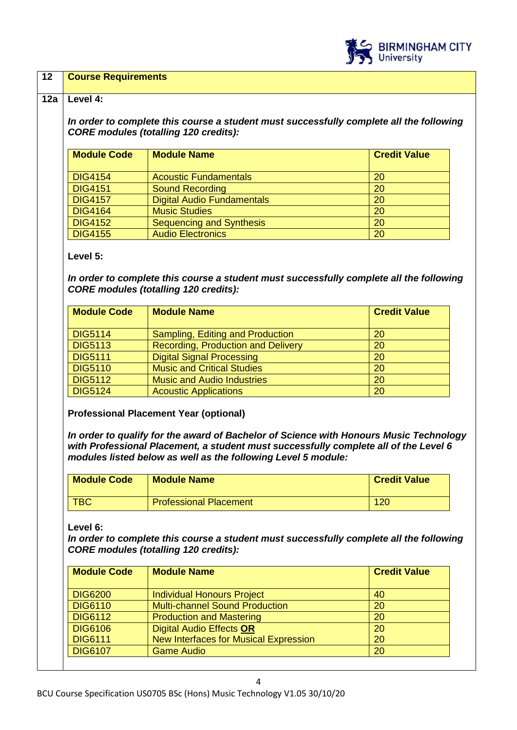

### **12 Course Requirements**

#### **12a Level 4:**

*In order to complete this course a student must successfully complete all the following CORE modules (totalling 120 credits):*

| <b>Module Code</b> | <b>Module Name</b>                | <b>Credit Value</b> |
|--------------------|-----------------------------------|---------------------|
| <b>DIG4154</b>     | <b>Acoustic Fundamentals</b>      | 20                  |
| <b>DIG4151</b>     | <b>Sound Recording</b>            | 20                  |
| <b>DIG4157</b>     | <b>Digital Audio Fundamentals</b> | 20                  |
| <b>DIG4164</b>     | <b>Music Studies</b>              | 20                  |
| <b>DIG4152</b>     | Sequencing and Synthesis          | 20                  |
| <b>DIG4155</b>     | <b>Audio Electronics</b>          | 20                  |

**Level 5:**

*In order to complete this course a student must successfully complete all the following CORE modules (totalling 120 credits):*

| <b>Module Code</b> | <b>Module Name</b>                        | <b>Credit Value</b> |
|--------------------|-------------------------------------------|---------------------|
| <b>DIG5114</b>     | Sampling, Editing and Production          | 20                  |
| <b>DIG5113</b>     | <b>Recording, Production and Delivery</b> | 20                  |
| <b>DIG5111</b>     | <b>Digital Signal Processing</b>          | 20                  |
| <b>DIG5110</b>     | <b>Music and Critical Studies</b>         | 20                  |
| <b>DIG5112</b>     | <b>Music and Audio Industries</b>         | 20                  |
| <b>DIG5124</b>     | <b>Acoustic Applications</b>              | 20                  |

**Professional Placement Year (optional)**

*In order to qualify for the award of Bachelor of Science with Honours Music Technology with Professional Placement, a student must successfully complete all of the Level 6 modules listed below as well as the following Level 5 module:*

| <b>Module Code</b> | <b>Module Name</b>            | <b>Credit Value</b> |
|--------------------|-------------------------------|---------------------|
| <b>TBC</b>         | <b>Professional Placement</b> | 120                 |

**Level 6:**

*In order to complete this course a student must successfully complete all the following CORE modules (totalling 120 credits):*

| <b>Module Name</b>                           | <b>Credit Value</b> |
|----------------------------------------------|---------------------|
| <b>Individual Honours Project</b>            | 40                  |
| <b>Multi-channel Sound Production</b>        | 20                  |
| <b>Production and Mastering</b><br>20        |                     |
| <b>Digital Audio Effects OR</b>              | 20                  |
| <b>New Interfaces for Musical Expression</b> | 20                  |
| <b>Game Audio</b><br>20                      |                     |
|                                              |                     |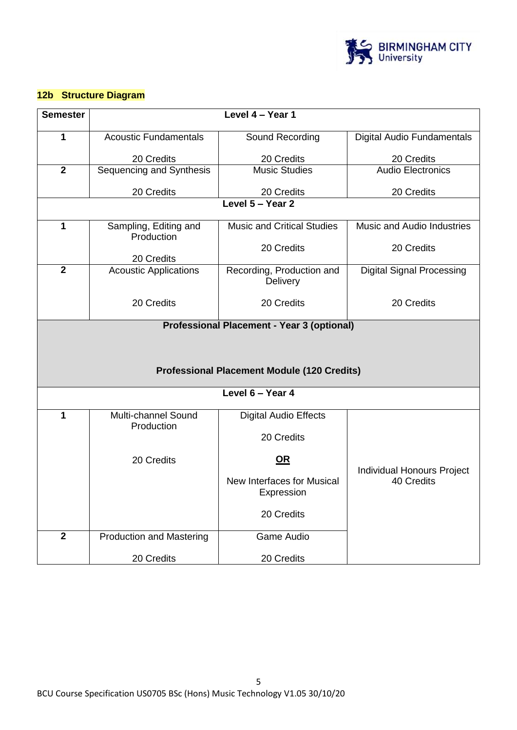

# **12b Structure Diagram**

| <b>Semester</b>                                    |                                 | Level 4 - Year 1                                  |                                                 |  |  |
|----------------------------------------------------|---------------------------------|---------------------------------------------------|-------------------------------------------------|--|--|
|                                                    |                                 |                                                   |                                                 |  |  |
| 1                                                  | <b>Acoustic Fundamentals</b>    | Sound Recording                                   | <b>Digital Audio Fundamentals</b>               |  |  |
|                                                    | 20 Credits                      | 20 Credits                                        | 20 Credits                                      |  |  |
| $\overline{2}$                                     | Sequencing and Synthesis        | <b>Music Studies</b>                              | <b>Audio Electronics</b>                        |  |  |
|                                                    | 20 Credits                      | 20 Credits                                        | 20 Credits                                      |  |  |
|                                                    |                                 | Level 5 - Year 2                                  |                                                 |  |  |
| 1                                                  | Sampling, Editing and           | <b>Music and Critical Studies</b>                 | Music and Audio Industries                      |  |  |
|                                                    | Production                      |                                                   |                                                 |  |  |
|                                                    |                                 | 20 Credits                                        | 20 Credits                                      |  |  |
| $\overline{2}$                                     | 20 Credits                      |                                                   |                                                 |  |  |
|                                                    | <b>Acoustic Applications</b>    | Recording, Production and<br>Delivery             | <b>Digital Signal Processing</b>                |  |  |
|                                                    |                                 |                                                   |                                                 |  |  |
|                                                    | 20 Credits                      | 20 Credits                                        | 20 Credits                                      |  |  |
|                                                    |                                 | <b>Professional Placement - Year 3 (optional)</b> |                                                 |  |  |
|                                                    |                                 |                                                   |                                                 |  |  |
|                                                    |                                 |                                                   |                                                 |  |  |
| <b>Professional Placement Module (120 Credits)</b> |                                 |                                                   |                                                 |  |  |
| Level 6 - Year 4                                   |                                 |                                                   |                                                 |  |  |
|                                                    |                                 |                                                   |                                                 |  |  |
| 1                                                  | Multi-channel Sound             | <b>Digital Audio Effects</b>                      |                                                 |  |  |
|                                                    | Production                      | 20 Credits                                        |                                                 |  |  |
|                                                    |                                 |                                                   |                                                 |  |  |
|                                                    | 20 Credits                      | $OR$                                              |                                                 |  |  |
|                                                    |                                 | New Interfaces for Musical                        | <b>Individual Honours Project</b><br>40 Credits |  |  |
|                                                    |                                 | Expression                                        |                                                 |  |  |
|                                                    |                                 | 20 Credits                                        |                                                 |  |  |
|                                                    |                                 |                                                   |                                                 |  |  |
| $\overline{2}$                                     | <b>Production and Mastering</b> | <b>Game Audio</b>                                 |                                                 |  |  |
|                                                    | 20 Credits                      | 20 Credits                                        |                                                 |  |  |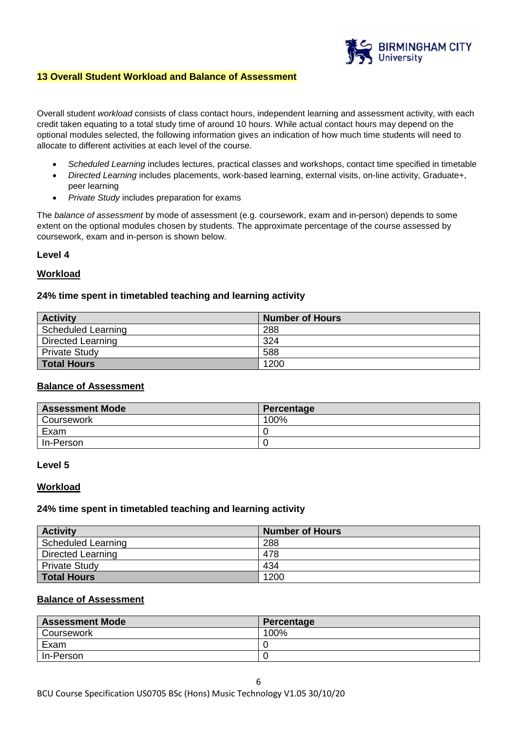

## **13 Overall Student Workload and Balance of Assessment**

Overall student *workload* consists of class contact hours, independent learning and assessment activity, with each credit taken equating to a total study time of around 10 hours. While actual contact hours may depend on the optional modules selected, the following information gives an indication of how much time students will need to allocate to different activities at each level of the course.

- *Scheduled Learning* includes lectures, practical classes and workshops, contact time specified in timetable
- *Directed Learning* includes placements, work-based learning, external visits, on-line activity, Graduate+, peer learning
- *Private Study* includes preparation for exams

The *balance of assessment* by mode of assessment (e.g. coursework, exam and in-person) depends to some extent on the optional modules chosen by students. The approximate percentage of the course assessed by coursework, exam and in-person is shown below.

#### **Level 4**

### **Workload**

### **24% time spent in timetabled teaching and learning activity**

| <b>Activity</b>      | <b>Number of Hours</b> |
|----------------------|------------------------|
| Scheduled Learning   | 288                    |
| Directed Learning    | 324                    |
| <b>Private Study</b> | 588                    |
| <b>Total Hours</b>   | 1200                   |

## **Balance of Assessment**

| <b>Assessment Mode</b> | Percentage |
|------------------------|------------|
| <b>Coursework</b>      | 100%       |
| Exam                   |            |
| In-Person              |            |

#### **Level 5**

#### **Workload**

### **24% time spent in timetabled teaching and learning activity**

| <b>Activity</b>           | <b>Number of Hours</b> |
|---------------------------|------------------------|
| <b>Scheduled Learning</b> | 288                    |
| Directed Learning         | 478                    |
| <b>Private Study</b>      | 434                    |
| <b>Total Hours</b>        | 1200                   |

## **Balance of Assessment**

| <b>Assessment Mode</b> | Percentage |
|------------------------|------------|
| Coursework             | 100%       |
| Exam                   |            |
| In-Person              |            |